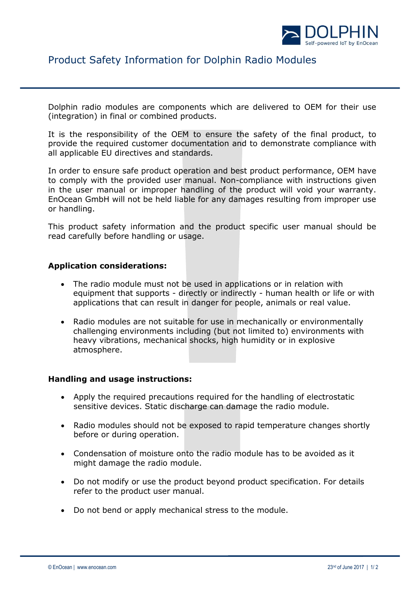

## Product Safety Information for Dolphin Radio Modules

Dolphin radio modules are components which are delivered to OEM for their use (integration) in final or combined products.

It is the responsibility of the OEM to ensure the safety of the final product, to provide the required customer documentation and to demonstrate compliance with all applicable EU directives and standards.

In order to ensure safe product operation and best product performance, OEM have to comply with the provided user manual. Non-compliance with instructions given in the user manual or improper handling of the product will void your warranty. EnOcean GmbH will not be held liable for any damages resulting from improper use or handling.

This product safety information and the product specific user manual should be read carefully before handling or usage.

## **Application considerations:**

- The radio module must not be used in applications or in relation with equipment that supports - directly or indirectly - human health or life or with applications that can result in danger for people, animals or real value.
- Radio modules are not suitable for use in mechanically or environmentally challenging environments including (but not limited to) environments with heavy vibrations, mechanical shocks, high humidity or in explosive atmosphere.

## **Handling and usage instructions:**

- Apply the required precautions required for the handling of electrostatic sensitive devices. Static discharge can damage the radio module.
- Radio modules should not be exposed to rapid temperature changes shortly before or during operation.
- Condensation of moisture onto the radio module has to be avoided as it might damage the radio module.
- Do not modify or use the product beyond product specification. For details refer to the product user manual.
- Do not bend or apply mechanical stress to the module.